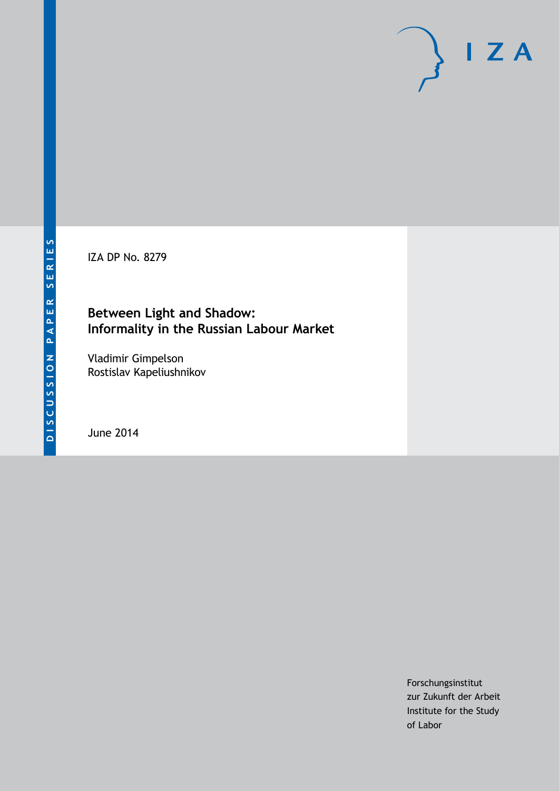IZA DP No. 8279

# **Between Light and Shadow: Informality in the Russian Labour Market**

Vladimir Gimpelson Rostislav Kapeliushnikov

June 2014

Forschungsinstitut zur Zukunft der Arbeit Institute for the Study of Labor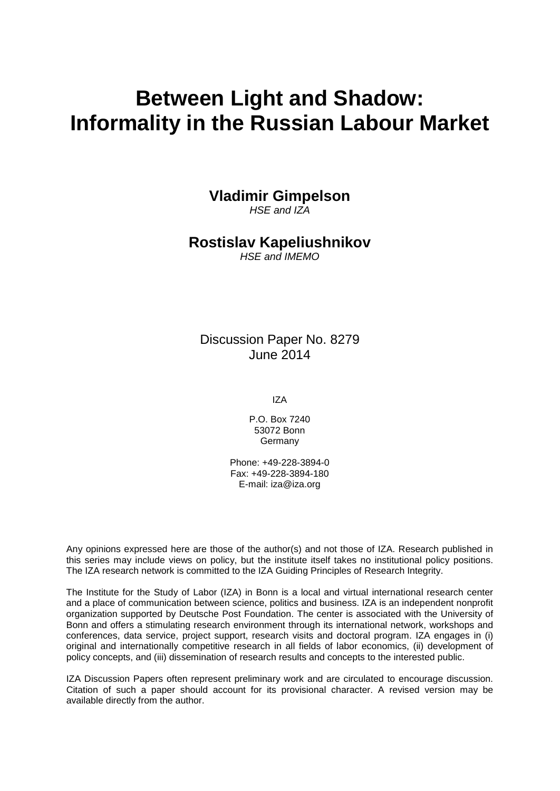# **Between Light and Shadow: Informality in the Russian Labour Market**

**Vladimir Gimpelson**

*HSE and IZA*

# **Rostislav Kapeliushnikov**

*HSE and IMEMO*

# Discussion Paper No. 8279 June 2014

IZA

P.O. Box 7240 53072 Bonn **Germany** 

Phone: +49-228-3894-0 Fax: +49-228-3894-180 E-mail: [iza@iza.org](mailto:iza@iza.org)

Any opinions expressed here are those of the author(s) and not those of IZA. Research published in this series may include views on policy, but the institute itself takes no institutional policy positions. The IZA research network is committed to the IZA Guiding Principles of Research Integrity.

The Institute for the Study of Labor (IZA) in Bonn is a local and virtual international research center and a place of communication between science, politics and business. IZA is an independent nonprofit organization supported by Deutsche Post Foundation. The center is associated with the University of Bonn and offers a stimulating research environment through its international network, workshops and conferences, data service, project support, research visits and doctoral program. IZA engages in (i) original and internationally competitive research in all fields of labor economics, (ii) development of policy concepts, and (iii) dissemination of research results and concepts to the interested public.

IZA Discussion Papers often represent preliminary work and are circulated to encourage discussion. Citation of such a paper should account for its provisional character. A revised version may be available directly from the author.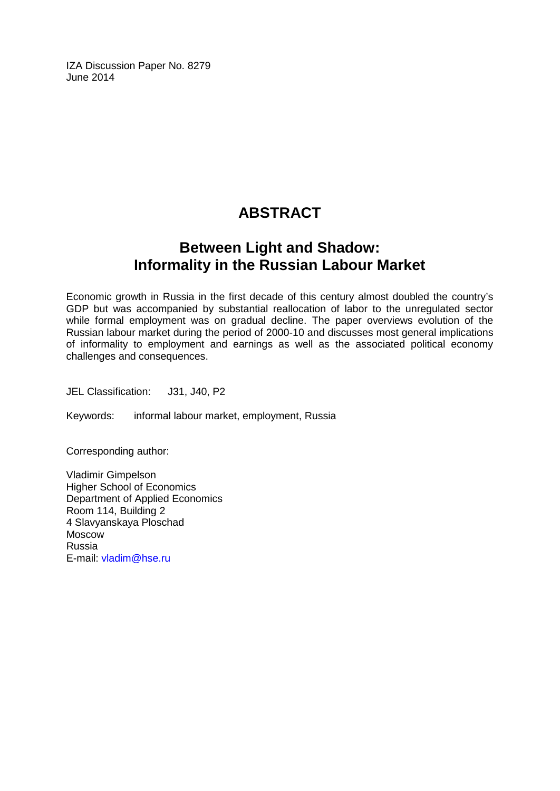IZA Discussion Paper No. 8279 June 2014

# **ABSTRACT**

# **Between Light and Shadow: Informality in the Russian Labour Market**

Economic growth in Russia in the first decade of this century almost doubled the country's GDP but was accompanied by substantial reallocation of labor to the unregulated sector while formal employment was on gradual decline. The paper overviews evolution of the Russian labour market during the period of 2000-10 and discusses most general implications of informality to employment and earnings as well as the associated political economy challenges and consequences.

JEL Classification: J31, J40, P2

Keywords: informal labour market, employment, Russia

Corresponding author:

Vladimir Gimpelson Higher School of Economics Department of Applied Economics Room 114, Building 2 4 Slavyanskaya Ploschad Moscow Russia E-mail: [vladim@hse.ru](mailto:vladim@hse.ru)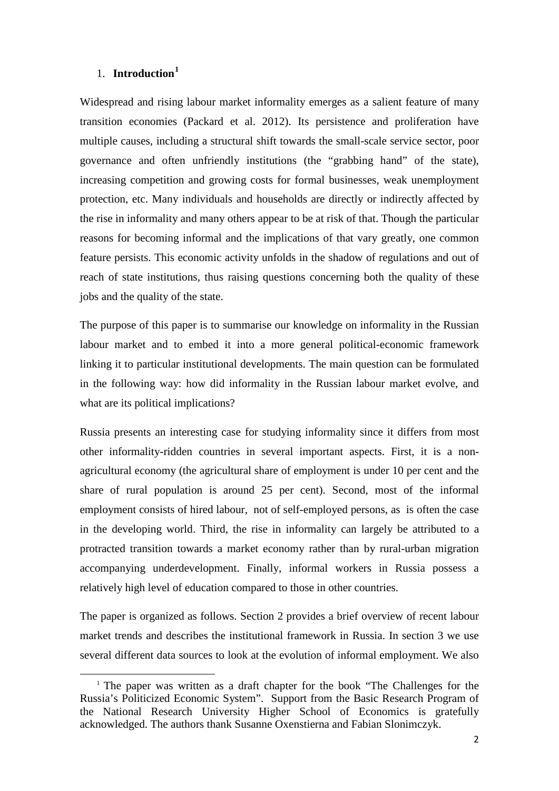# 1. **Introduction<sup>1</sup>**

Widespread and rising labour market informality emerges as a salient feature of many transition economies (Packard et al. 2012). Its persistence and proliferation have multiple causes, including a structural shift towards the small-scale service sector, poor governance and often unfriendly institutions (the "grabbing hand" of the state), increasing competition and growing costs for formal businesses, weak unemployment protection, etc. Many individuals and households are directly or indirectly affected by the rise in informality and many others appear to be at risk of that. Though the particular reasons for becoming informal and the implications of that vary greatly, one common feature persists. This economic activity unfolds in the shadow of regulations and out of reach of state institutions, thus raising questions concerning both the quality of these jobs and the quality of the state.

The purpose of this paper is to summarise our knowledge on informality in the Russian labour market and to embed it into a more general political-economic framework linking it to particular institutional developments. The main question can be formulated in the following way: how did informality in the Russian labour market evolve, and what are its political implications?

Russia presents an interesting case for studying informality since it differs from most other informality-ridden countries in several important aspects. First, it is a nonagricultural economy (the agricultural share of employment is under 10 per cent and the share of rural population is around 25 per cent). Second, most of the informal employment consists of hired labour, not of self-employed persons, as is often the case in the developing world. Third, the rise in informality can largely be attributed to a protracted transition towards a market economy rather than by rural-urban migration accompanying underdevelopment. Finally, informal workers in Russia possess a relatively high level of education compared to those in other countries.

The paper is organized as follows. Section 2 provides a brief overview of recent labour market trends and describes the institutional framework in Russia. In section 3 we use several different data sources to look at the evolution of informal employment. We also

<span id="page-3-0"></span><sup>&</sup>lt;sup>1</sup> The paper was written as a draft chapter for the book "The Challenges for the Russia's Politicized Economic System". Support from the Basic Research Program of the National Research University Higher School of Economics is gratefully acknowledged. The authors thank Susanne Oxenstierna and Fabian Slonimczyk.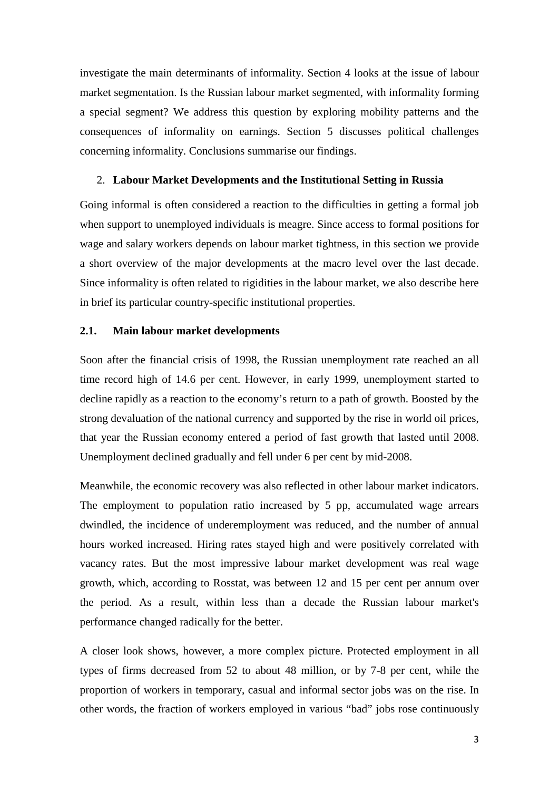investigate the main determinants of informality. Section 4 looks at the issue of labour market segmentation. Is the Russian labour market segmented, with informality forming a special segment? We address this question by exploring mobility patterns and the consequences of informality on earnings. Section 5 discusses political challenges concerning informality. Conclusions summarise our findings.

### 2. **Labour Market Developments and the Institutional Setting in Russia**

Going informal is often considered a reaction to the difficulties in getting a formal job when support to unemployed individuals is meagre. Since access to formal positions for wage and salary workers depends on labour market tightness, in this section we provide a short overview of the major developments at the macro level over the last decade. Since informality is often related to rigidities in the labour market, we also describe here in brief its particular country-specific institutional properties.

#### **2.1. Main labour market developments**

Soon after the financial crisis of 1998, the Russian unemployment rate reached an all time record high of 14.6 per cent. However, in early 1999, unemployment started to decline rapidly as a reaction to the economy's return to a path of growth. Boosted by the strong devaluation of the national currency and supported by the rise in world oil prices, that year the Russian economy entered a period of fast growth that lasted until 2008. Unemployment declined gradually and fell under 6 per cent by mid-2008.

Meanwhile, the economic recovery was also reflected in other labour market indicators. The employment to population ratio increased by 5 pp, accumulated wage arrears dwindled, the incidence of underemployment was reduced, and the number of annual hours worked increased. Hiring rates stayed high and were positively correlated with vacancy rates. But the most impressive labour market development was real wage growth, which, according to Rosstat, was between 12 and 15 per cent per annum over the period. As a result, within less than a decade the Russian labour market's performance changed radically for the better.

A closer look shows, however, a more complex picture. Protected employment in all types of firms decreased from 52 to about 48 million, or by 7-8 per cent, while the proportion of workers in temporary, casual and informal sector jobs was on the rise. In other words, the fraction of workers employed in various "bad" jobs rose continuously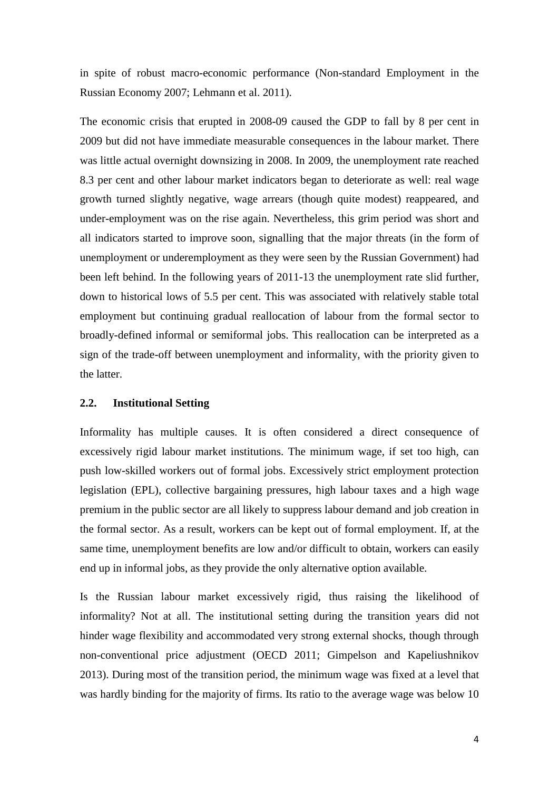in spite of robust macro-economic performance (Non-standard Employment in the Russian Economy 2007; Lehmann et al. 2011).

The economic crisis that erupted in 2008-09 caused the GDP to fall by 8 per cent in 2009 but did not have immediate measurable consequences in the labour market. There was little actual overnight downsizing in 2008. In 2009, the unemployment rate reached 8.3 per cent and other labour market indicators began to deteriorate as well: real wage growth turned slightly negative, wage arrears (though quite modest) reappeared, and under-employment was on the rise again. Nevertheless, this grim period was short and all indicators started to improve soon, signalling that the major threats (in the form of unemployment or underemployment as they were seen by the Russian Government) had been left behind. In the following years of 2011-13 the unemployment rate slid further, down to historical lows of 5.5 per cent. This was associated with relatively stable total employment but continuing gradual reallocation of labour from the formal sector to broadly-defined informal or semiformal jobs. This reallocation can be interpreted as a sign of the trade-off between unemployment and informality, with the priority given to the latter.

#### **2.2. Institutional Setting**

Informality has multiple causes. It is often considered a direct consequence of excessively rigid labour market institutions. The minimum wage, if set too high, can push low-skilled workers out of formal jobs. Excessively strict employment protection legislation (EPL), collective bargaining pressures, high labour taxes and a high wage premium in the public sector are all likely to suppress labour demand and job creation in the formal sector. As a result, workers can be kept out of formal employment. If, at the same time, unemployment benefits are low and/or difficult to obtain, workers can easily end up in informal jobs, as they provide the only alternative option available.

Is the Russian labour market excessively rigid, thus raising the likelihood of informality? Not at all. The institutional setting during the transition years did not hinder wage flexibility and accommodated very strong external shocks, though through non-conventional price adjustment (OECD 2011; Gimpelson and Kapeliushnikov 2013). During most of the transition period, the minimum wage was fixed at a level that was hardly binding for the majority of firms. Its ratio to the average wage was below 10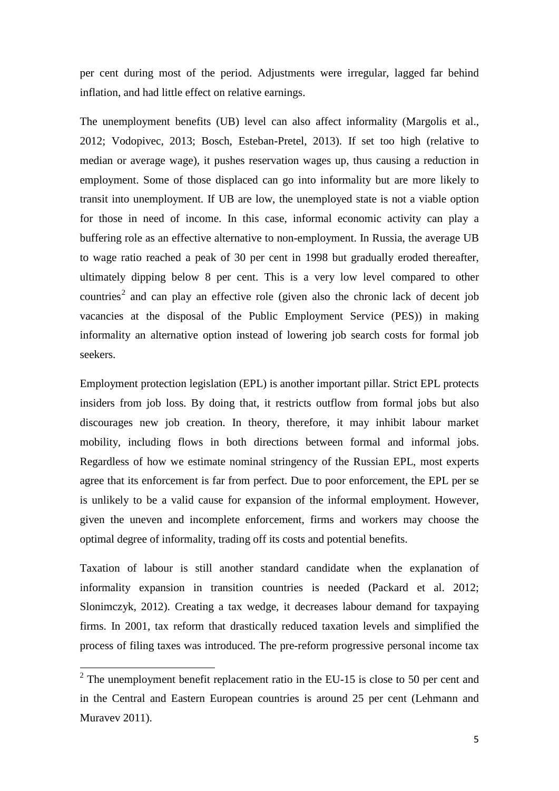per cent during most of the period. Adjustments were irregular, lagged far behind inflation, and had little effect on relative earnings.

The unemployment benefits (UB) level can also affect informality (Margolis et al., 2012; Vodopivec, 2013; Bosch, Esteban-Pretel, 2013). If set too high (relative to median or average wage), it pushes reservation wages up, thus causing a reduction in employment. Some of those displaced can go into informality but are more likely to transit into unemployment. If UB are low, the unemployed state is not a viable option for those in need of income. In this case, informal economic activity can play a buffering role as an effective alternative to non-employment. In Russia, the average UB to wage ratio reached a peak of 30 per cent in 1998 but gradually eroded thereafter, ultimately dipping below 8 per cent. This is a very low level compared to other countries<sup>[2](#page-3-0)</sup> and can play an effective role (given also the chronic lack of decent job vacancies at the disposal of the Public Employment Service (PES)) in making informality an alternative option instead of lowering job search costs for formal job seekers.

Employment protection legislation (EPL) is another important pillar. Strict EPL protects insiders from job loss. By doing that, it restricts outflow from formal jobs but also discourages new job creation. In theory, therefore, it may inhibit labour market mobility, including flows in both directions between formal and informal jobs. Regardless of how we estimate nominal stringency of the Russian EPL, most experts agree that its enforcement is far from perfect. Due to poor enforcement, the EPL per se is unlikely to be a valid cause for expansion of the informal employment. However, given the uneven and incomplete enforcement, firms and workers may choose the optimal degree of informality, trading off its costs and potential benefits.

Taxation of labour is still another standard candidate when the explanation of informality expansion in transition countries is needed (Packard et al. 2012; Slonimczyk, 2012). Creating a tax wedge, it decreases labour demand for taxpaying firms. In 2001, tax reform that drastically reduced taxation levels and simplified the process of filing taxes was introduced. The pre-reform progressive personal income tax

<span id="page-6-0"></span> $2$  The unemployment benefit replacement ratio in the EU-15 is close to 50 per cent and in the Central and Eastern European countries is around 25 per cent (Lehmann and Muravev 2011).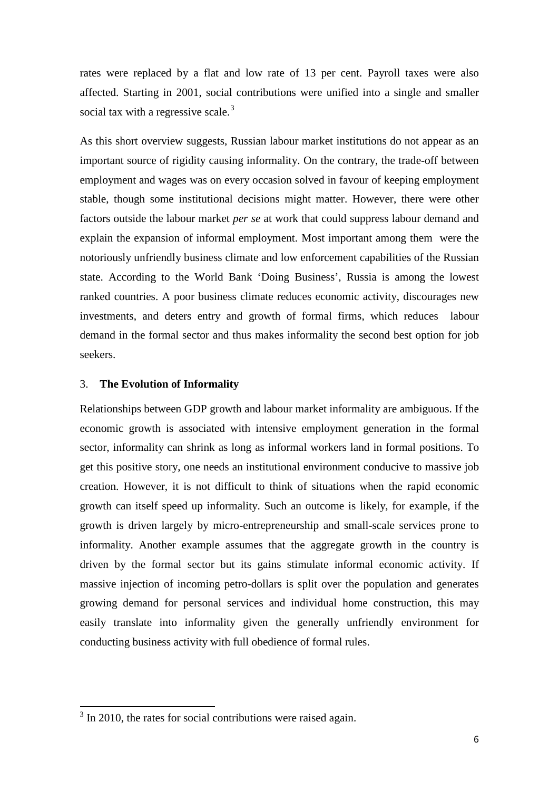rates were replaced by a flat and low rate of 13 per cent. Payroll taxes were also affected. Starting in 2001, social contributions were unified into a single and smaller social tax with a regressive scale. $3$ 

As this short overview suggests, Russian labour market institutions do not appear as an important source of rigidity causing informality. On the contrary, the trade-off between employment and wages was on every occasion solved in favour of keeping employment stable, though some institutional decisions might matter. However, there were other factors outside the labour market *per se* at work that could suppress labour demand and explain the expansion of informal employment. Most important among them were the notoriously unfriendly business climate and low enforcement capabilities of the Russian state. According to the World Bank 'Doing Business', Russia is among the lowest ranked countries. A poor business climate reduces economic activity, discourages new investments, and deters entry and growth of formal firms, which reduces labour demand in the formal sector and thus makes informality the second best option for job seekers.

#### 3. **The Evolution of Informality**

Relationships between GDP growth and labour market informality are ambiguous. If the economic growth is associated with intensive employment generation in the formal sector, informality can shrink as long as informal workers land in formal positions. To get this positive story, one needs an institutional environment conducive to massive job creation. However, it is not difficult to think of situations when the rapid economic growth can itself speed up informality. Such an outcome is likely, for example, if the growth is driven largely by micro-entrepreneurship and small-scale services prone to informality. Another example assumes that the aggregate growth in the country is driven by the formal sector but its gains stimulate informal economic activity. If massive injection of incoming petro-dollars is split over the population and generates growing demand for personal services and individual home construction, this may easily translate into informality given the generally unfriendly environment for conducting business activity with full obedience of formal rules.

<span id="page-7-0"></span> $3 \text{ In } 2010$ , the rates for social contributions were raised again.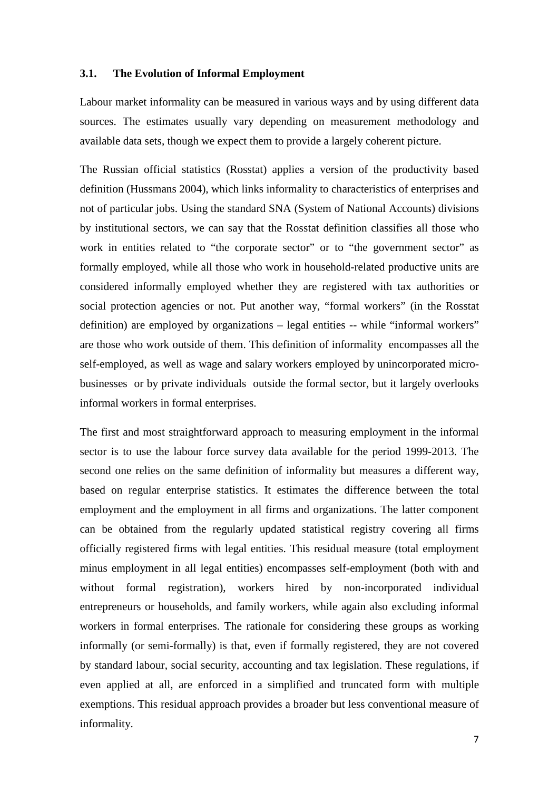## **3.1. The Evolution of Informal Employment**

Labour market informality can be measured in various ways and by using different data sources. The estimates usually vary depending on measurement methodology and available data sets, though we expect them to provide a largely coherent picture.

The Russian official statistics (Rosstat) applies a version of the productivity based definition (Hussmans 2004), which links informality to characteristics of enterprises and not of particular jobs. Using the standard SNA (System of National Accounts) divisions by institutional sectors, we can say that the Rosstat definition classifies all those who work in entities related to "the corporate sector" or to "the government sector" as formally employed, while all those who work in household-related productive units are considered informally employed whether they are registered with tax authorities or social protection agencies or not. Put another way, "formal workers" (in the Rosstat definition) are employed by organizations – legal entities -- while "informal workers" are those who work outside of them. This definition of informality encompasses all the self-employed, as well as wage and salary workers employed by unincorporated microbusinesses or by private individuals outside the formal sector, but it largely overlooks informal workers in formal enterprises.

The first and most straightforward approach to measuring employment in the informal sector is to use the labour force survey data available for the period 1999-2013. The second one relies on the same definition of informality but measures a different way, based on regular enterprise statistics. It estimates the difference between the total employment and the employment in all firms and organizations. The latter component can be obtained from the regularly updated statistical registry covering all firms officially registered firms with legal entities. This residual measure (total employment minus employment in all legal entities) encompasses self-employment (both with and without formal registration), workers hired by non-incorporated individual entrepreneurs or households, and family workers, while again also excluding informal workers in formal enterprises. The rationale for considering these groups as working informally (or semi-formally) is that, even if formally registered, they are not covered by standard labour, social security, accounting and tax legislation. These regulations, if even applied at all, are enforced in a simplified and truncated form with multiple exemptions. This residual approach provides a broader but less conventional measure of informality.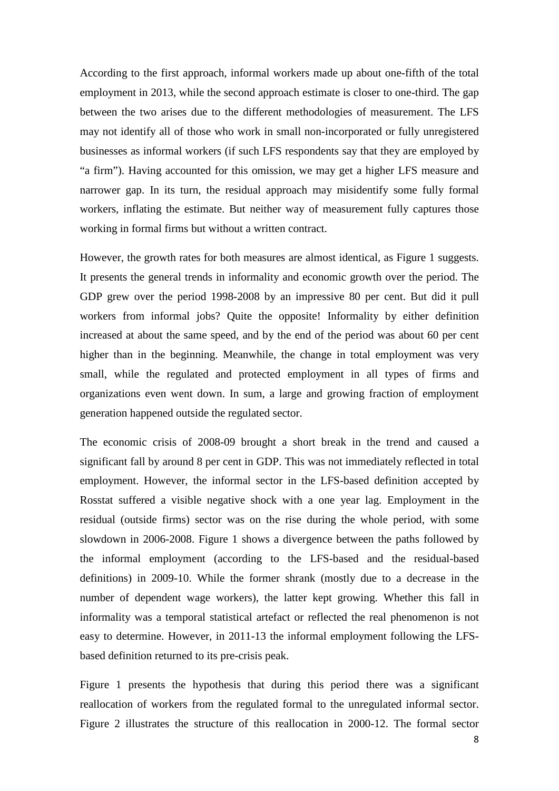According to the first approach, informal workers made up about one-fifth of the total employment in 2013, while the second approach estimate is closer to one-third. The gap between the two arises due to the different methodologies of measurement. The LFS may not identify all of those who work in small non-incorporated or fully unregistered businesses as informal workers (if such LFS respondents say that they are employed by "a firm"). Having accounted for this omission, we may get a higher LFS measure and narrower gap. In its turn, the residual approach may misidentify some fully formal workers, inflating the estimate. But neither way of measurement fully captures those working in formal firms but without a written contract.

However, the growth rates for both measures are almost identical, as Figure 1 suggests. It presents the general trends in informality and economic growth over the period. The GDP grew over the period 1998-2008 by an impressive 80 per cent. But did it pull workers from informal jobs? Quite the opposite! Informality by either definition increased at about the same speed, and by the end of the period was about 60 per cent higher than in the beginning. Meanwhile, the change in total employment was very small, while the regulated and protected employment in all types of firms and organizations even went down. In sum, a large and growing fraction of employment generation happened outside the regulated sector.

The economic crisis of 2008-09 brought a short break in the trend and caused a significant fall by around 8 per cent in GDP. This was not immediately reflected in total employment. However, the informal sector in the LFS-based definition accepted by Rosstat suffered a visible negative shock with a one year lag. Employment in the residual (outside firms) sector was on the rise during the whole period, with some slowdown in 2006-2008. Figure 1 shows a divergence between the paths followed by the informal employment (according to the LFS-based and the residual-based definitions) in 2009-10. While the former shrank (mostly due to a decrease in the number of dependent wage workers), the latter kept growing. Whether this fall in informality was a temporal statistical artefact or reflected the real phenomenon is not easy to determine. However, in 2011-13 the informal employment following the LFSbased definition returned to its pre-crisis peak.

Figure 1 presents the hypothesis that during this period there was a significant reallocation of workers from the regulated formal to the unregulated informal sector. Figure 2 illustrates the structure of this reallocation in 2000-12. The formal sector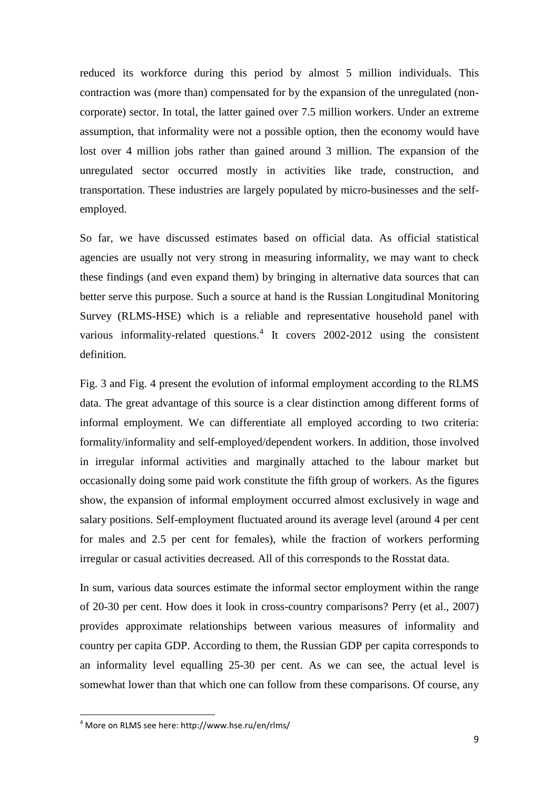reduced its workforce during this period by almost 5 million individuals. This contraction was (more than) compensated for by the expansion of the unregulated (noncorporate) sector. In total, the latter gained over 7.5 million workers. Under an extreme assumption, that informality were not a possible option, then the economy would have lost over 4 million jobs rather than gained around 3 million. The expansion of the unregulated sector occurred mostly in activities like trade, construction, and transportation. These industries are largely populated by micro-businesses and the selfemployed.

So far, we have discussed estimates based on official data. As official statistical agencies are usually not very strong in measuring informality, we may want to check these findings (and even expand them) by bringing in alternative data sources that can better serve this purpose. Such a source at hand is the Russian Longitudinal Monitoring Survey (RLMS-HSE) which is a reliable and representative household panel with various informality-related questions.<sup>[4](#page-7-0)</sup> It covers 2002-2012 using the consistent definition.

Fig. 3 and Fig. 4 present the evolution of informal employment according to the RLMS data. The great advantage of this source is a clear distinction among different forms of informal employment. We can differentiate all employed according to two criteria: formality/informality and self-employed/dependent workers. In addition, those involved in irregular informal activities and marginally attached to the labour market but occasionally doing some paid work constitute the fifth group of workers. As the figures show, the expansion of informal employment occurred almost exclusively in wage and salary positions. Self-employment fluctuated around its average level (around 4 per cent for males and 2.5 per cent for females), while the fraction of workers performing irregular or casual activities decreased. All of this corresponds to the Rosstat data.

In sum, various data sources estimate the informal sector employment within the range of 20-30 per cent. How does it look in cross-country comparisons? Perry (et al., 2007) provides approximate relationships between various measures of informality and country per capita GDP. According to them, the Russian GDP per capita corresponds to an informality level equalling 25-30 per cent. As we can see, the actual level is somewhat lower than that which one can follow from these comparisons. Of course, any

<span id="page-10-0"></span> $4$  More on RLMS see here: http://www.hse.ru/en/rlms/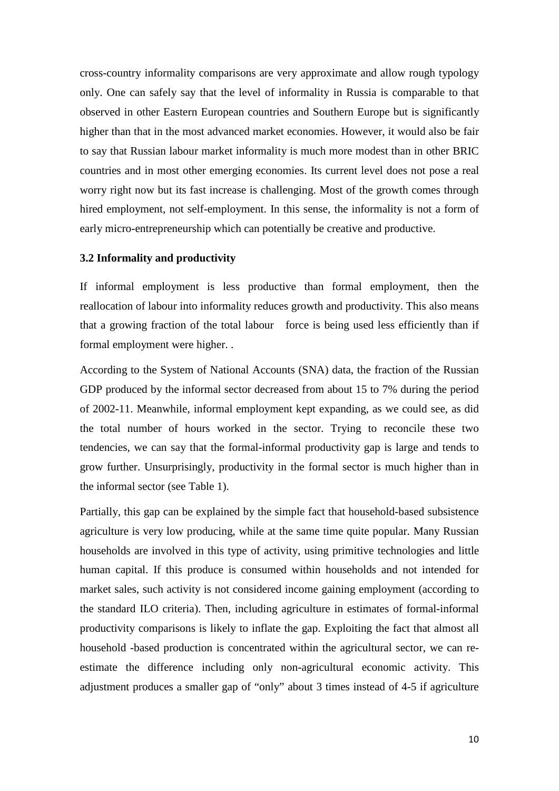cross-country informality comparisons are very approximate and allow rough typology only. One can safely say that the level of informality in Russia is comparable to that observed in other Eastern European countries and Southern Europe but is significantly higher than that in the most advanced market economies. However, it would also be fair to say that Russian labour market informality is much more modest than in other BRIC countries and in most other emerging economies. Its current level does not pose a real worry right now but its fast increase is challenging. Most of the growth comes through hired employment, not self-employment. In this sense, the informality is not a form of early micro-entrepreneurship which can potentially be creative and productive.

### **3.2 Informality and productivity**

If informal employment is less productive than formal employment, then the reallocation of labour into informality reduces growth and productivity. This also means that a growing fraction of the total labour force is being used less efficiently than if formal employment were higher. .

According to the System of National Accounts (SNA) data, the fraction of the Russian GDP produced by the informal sector decreased from about 15 to 7% during the period of 2002-11. Meanwhile, informal employment kept expanding, as we could see, as did the total number of hours worked in the sector. Trying to reconcile these two tendencies, we can say that the formal-informal productivity gap is large and tends to grow further. Unsurprisingly, productivity in the formal sector is much higher than in the informal sector (see Table 1).

Partially, this gap can be explained by the simple fact that household-based subsistence agriculture is very low producing, while at the same time quite popular. Many Russian households are involved in this type of activity, using primitive technologies and little human capital. If this produce is consumed within households and not intended for market sales, such activity is not considered income gaining employment (according to the standard ILO criteria). Then, including agriculture in estimates of formal-informal productivity comparisons is likely to inflate the gap. Exploiting the fact that almost all household -based production is concentrated within the agricultural sector, we can reestimate the difference including only non-agricultural economic activity. This adjustment produces a smaller gap of "only" about 3 times instead of 4-5 if agriculture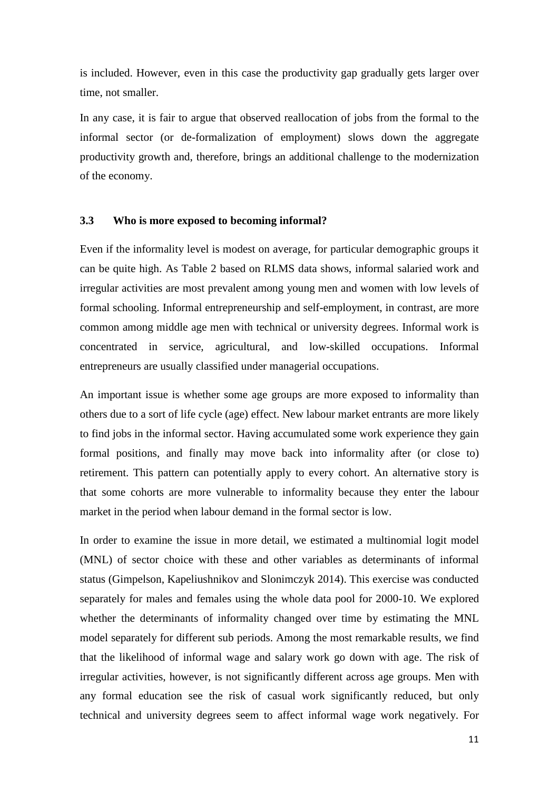is included. However, even in this case the productivity gap gradually gets larger over time, not smaller.

In any case, it is fair to argue that observed reallocation of jobs from the formal to the informal sector (or de-formalization of employment) slows down the aggregate productivity growth and, therefore, brings an additional challenge to the modernization of the economy.

### **3.3 Who is more exposed to becoming informal?**

Even if the informality level is modest on average, for particular demographic groups it can be quite high. As Table 2 based on RLMS data shows, informal salaried work and irregular activities are most prevalent among young men and women with low levels of formal schooling. Informal entrepreneurship and self-employment, in contrast, are more common among middle age men with technical or university degrees. Informal work is concentrated in service, agricultural, and low-skilled occupations. Informal entrepreneurs are usually classified under managerial occupations.

An important issue is whether some age groups are more exposed to informality than others due to a sort of life cycle (age) effect. New labour market entrants are more likely to find jobs in the informal sector. Having accumulated some work experience they gain formal positions, and finally may move back into informality after (or close to) retirement. This pattern can potentially apply to every cohort. An alternative story is that some cohorts are more vulnerable to informality because they enter the labour market in the period when labour demand in the formal sector is low.

In order to examine the issue in more detail, we estimated a multinomial logit model (MNL) of sector choice with these and other variables as determinants of informal status (Gimpelson, Kapeliushnikov and Slonimczyk 2014). This exercise was conducted separately for males and females using the whole data pool for 2000-10. We explored whether the determinants of informality changed over time by estimating the MNL model separately for different sub periods. Among the most remarkable results, we find that the likelihood of informal wage and salary work go down with age. The risk of irregular activities, however, is not significantly different across age groups. Men with any formal education see the risk of casual work significantly reduced, but only technical and university degrees seem to affect informal wage work negatively. For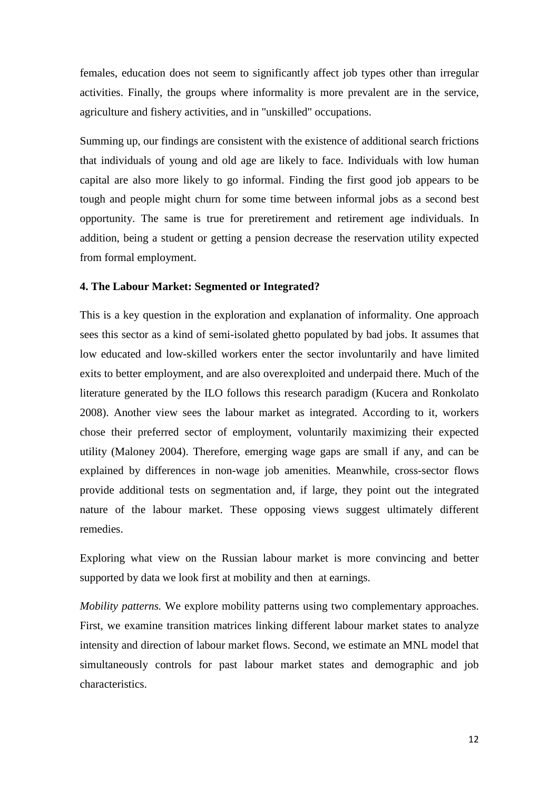females, education does not seem to significantly affect job types other than irregular activities. Finally, the groups where informality is more prevalent are in the service, agriculture and fishery activities, and in "unskilled" occupations.

Summing up, our findings are consistent with the existence of additional search frictions that individuals of young and old age are likely to face. Individuals with low human capital are also more likely to go informal. Finding the first good job appears to be tough and people might churn for some time between informal jobs as a second best opportunity. The same is true for preretirement and retirement age individuals. In addition, being a student or getting a pension decrease the reservation utility expected from formal employment.

### **4. The Labour Market: Segmented or Integrated?**

This is a key question in the exploration and explanation of informality. One approach sees this sector as a kind of semi-isolated ghetto populated by bad jobs. It assumes that low educated and low-skilled workers enter the sector involuntarily and have limited exits to better employment, and are also overexploited and underpaid there. Much of the literature generated by the ILO follows this research paradigm (Kucera and Ronkolato 2008). Another view sees the labour market as integrated. According to it, workers chose their preferred sector of employment, voluntarily maximizing their expected utility (Maloney 2004). Therefore, emerging wage gaps are small if any, and can be explained by differences in non-wage job amenities. Meanwhile, cross-sector flows provide additional tests on segmentation and, if large, they point out the integrated nature of the labour market. These opposing views suggest ultimately different remedies.

Exploring what view on the Russian labour market is more convincing and better supported by data we look first at mobility and then at earnings.

*Mobility patterns.* We explore mobility patterns using two complementary approaches. First, we examine transition matrices linking different labour market states to analyze intensity and direction of labour market flows. Second, we estimate an MNL model that simultaneously controls for past labour market states and demographic and job characteristics.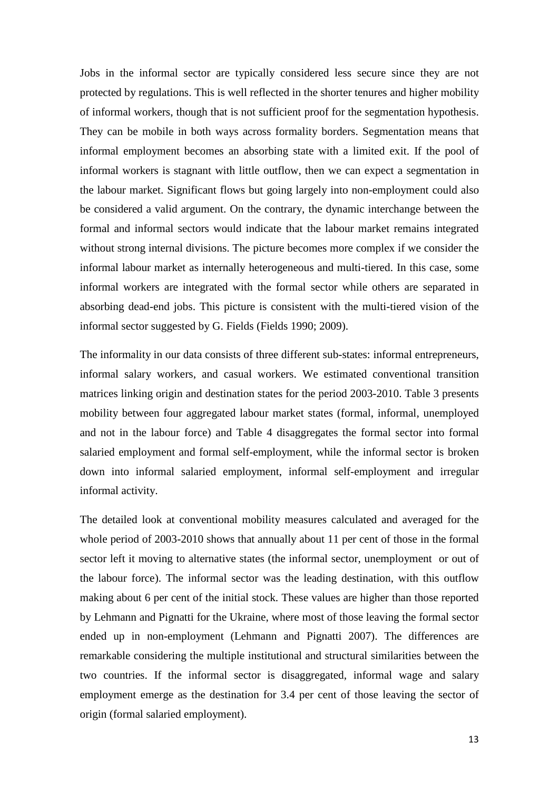Jobs in the informal sector are typically considered less secure since they are not protected by regulations. This is well reflected in the shorter tenures and higher mobility of informal workers, though that is not sufficient proof for the segmentation hypothesis. They can be mobile in both ways across formality borders. Segmentation means that informal employment becomes an absorbing state with a limited exit. If the pool of informal workers is stagnant with little outflow, then we can expect a segmentation in the labour market. Significant flows but going largely into non-employment could also be considered a valid argument. On the contrary, the dynamic interchange between the formal and informal sectors would indicate that the labour market remains integrated without strong internal divisions. The picture becomes more complex if we consider the informal labour market as internally heterogeneous and multi-tiered. In this case, some informal workers are integrated with the formal sector while others are separated in absorbing dead-end jobs. This picture is consistent with the multi-tiered vision of the informal sector suggested by G. Fields (Fields 1990; 2009).

The informality in our data consists of three different sub-states: informal entrepreneurs, informal salary workers, and casual workers. We estimated conventional transition matrices linking origin and destination states for the period 2003-2010. Table 3 presents mobility between four aggregated labour market states (formal, informal, unemployed and not in the labour force) and Table 4 disaggregates the formal sector into formal salaried employment and formal self-employment, while the informal sector is broken down into informal salaried employment, informal self-employment and irregular informal activity.

The detailed look at conventional mobility measures calculated and averaged for the whole period of 2003-2010 shows that annually about 11 per cent of those in the formal sector left it moving to alternative states (the informal sector, unemployment or out of the labour force). The informal sector was the leading destination, with this outflow making about 6 per cent of the initial stock. These values are higher than those reported by Lehmann and Pignatti for the Ukraine, where most of those leaving the formal sector ended up in non-employment (Lehmann and Pignatti 2007). The differences are remarkable considering the multiple institutional and structural similarities between the two countries. If the informal sector is disaggregated, informal wage and salary employment emerge as the destination for 3.4 per cent of those leaving the sector of origin (formal salaried employment).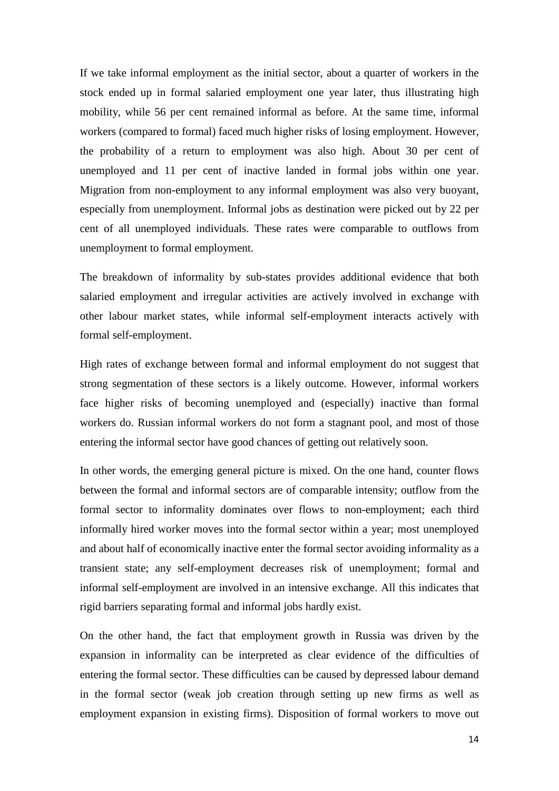If we take informal employment as the initial sector, about a quarter of workers in the stock ended up in formal salaried employment one year later, thus illustrating high mobility, while 56 per cent remained informal as before. At the same time, informal workers (compared to formal) faced much higher risks of losing employment. However, the probability of a return to employment was also high. About 30 per cent of unemployed and 11 per cent of inactive landed in formal jobs within one year. Migration from non-employment to any informal employment was also very buoyant, especially from unemployment. Informal jobs as destination were picked out by 22 per cent of all unemployed individuals. These rates were comparable to outflows from unemployment to formal employment.

The breakdown of informality by sub-states provides additional evidence that both salaried employment and irregular activities are actively involved in exchange with other labour market states, while informal self-employment interacts actively with formal self-employment.

High rates of exchange between formal and informal employment do not suggest that strong segmentation of these sectors is a likely outcome. However, informal workers face higher risks of becoming unemployed and (especially) inactive than formal workers do. Russian informal workers do not form a stagnant pool, and most of those entering the informal sector have good chances of getting out relatively soon.

In other words, the emerging general picture is mixed. On the one hand, counter flows between the formal and informal sectors are of comparable intensity; outflow from the formal sector to informality dominates over flows to non-employment; each third informally hired worker moves into the formal sector within a year; most unemployed and about half of economically inactive enter the formal sector avoiding informality as a transient state; any self-employment decreases risk of unemployment; formal and informal self-employment are involved in an intensive exchange. All this indicates that rigid barriers separating formal and informal jobs hardly exist.

On the other hand, the fact that employment growth in Russia was driven by the expansion in informality can be interpreted as clear evidence of the difficulties of entering the formal sector. These difficulties can be caused by depressed labour demand in the formal sector (weak job creation through setting up new firms as well as employment expansion in existing firms). Disposition of formal workers to move out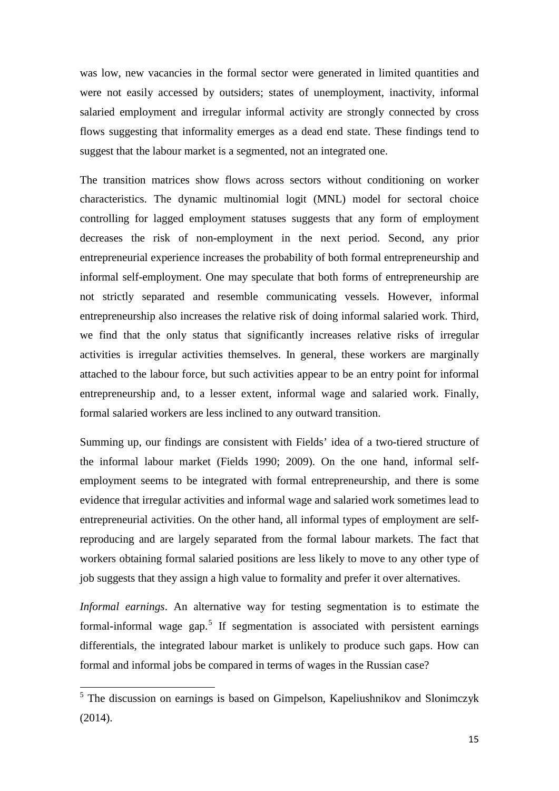was low, new vacancies in the formal sector were generated in limited quantities and were not easily accessed by outsiders; states of unemployment, inactivity, informal salaried employment and irregular informal activity are strongly connected by cross flows suggesting that informality emerges as a dead end state. These findings tend to suggest that the labour market is a segmented, not an integrated one.

The transition matrices show flows across sectors without conditioning on worker characteristics. The dynamic multinomial logit (MNL) model for sectoral choice controlling for lagged employment statuses suggests that any form of employment decreases the risk of non-employment in the next period. Second, any prior entrepreneurial experience increases the probability of both formal entrepreneurship and informal self-employment. One may speculate that both forms of entrepreneurship are not strictly separated and resemble communicating vessels. However, informal entrepreneurship also increases the relative risk of doing informal salaried work. Third, we find that the only status that significantly increases relative risks of irregular activities is irregular activities themselves. In general, these workers are marginally attached to the labour force, but such activities appear to be an entry point for informal entrepreneurship and, to a lesser extent, informal wage and salaried work. Finally, formal salaried workers are less inclined to any outward transition.

Summing up, our findings are consistent with Fields' idea of a two-tiered structure of the informal labour market (Fields 1990; 2009). On the one hand, informal selfemployment seems to be integrated with formal entrepreneurship, and there is some evidence that irregular activities and informal wage and salaried work sometimes lead to entrepreneurial activities. On the other hand, all informal types of employment are selfreproducing and are largely separated from the formal labour markets. The fact that workers obtaining formal salaried positions are less likely to move to any other type of job suggests that they assign a high value to formality and prefer it over alternatives.

*Informal earnings*. An alternative way for testing segmentation is to estimate the formal-informal wage gap.<sup>[5](#page-10-0)</sup> If segmentation is associated with persistent earnings differentials, the integrated labour market is unlikely to produce such gaps. How can formal and informal jobs be compared in terms of wages in the Russian case?

<sup>&</sup>lt;sup>5</sup> The discussion on earnings is based on Gimpelson, Kapeliushnikov and Slonimczyk (2014).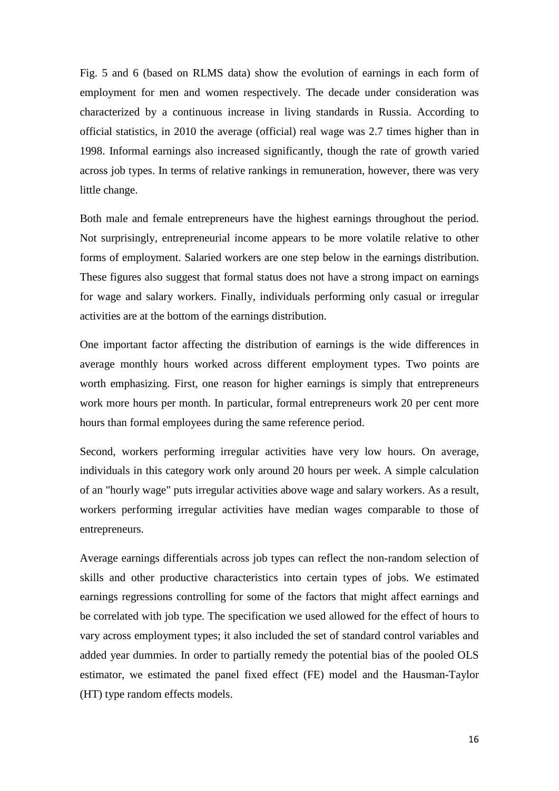Fig. 5 and 6 (based on RLMS data) show the evolution of earnings in each form of employment for men and women respectively. The decade under consideration was characterized by a continuous increase in living standards in Russia. According to official statistics, in 2010 the average (official) real wage was 2.7 times higher than in 1998. Informal earnings also increased significantly, though the rate of growth varied across job types. In terms of relative rankings in remuneration, however, there was very little change.

Both male and female entrepreneurs have the highest earnings throughout the period. Not surprisingly, entrepreneurial income appears to be more volatile relative to other forms of employment. Salaried workers are one step below in the earnings distribution. These figures also suggest that formal status does not have a strong impact on earnings for wage and salary workers. Finally, individuals performing only casual or irregular activities are at the bottom of the earnings distribution.

One important factor affecting the distribution of earnings is the wide differences in average monthly hours worked across different employment types. Two points are worth emphasizing. First, one reason for higher earnings is simply that entrepreneurs work more hours per month. In particular, formal entrepreneurs work 20 per cent more hours than formal employees during the same reference period.

Second, workers performing irregular activities have very low hours. On average, individuals in this category work only around 20 hours per week. A simple calculation of an "hourly wage" puts irregular activities above wage and salary workers. As a result, workers performing irregular activities have median wages comparable to those of entrepreneurs.

Average earnings differentials across job types can reflect the non-random selection of skills and other productive characteristics into certain types of jobs. We estimated earnings regressions controlling for some of the factors that might affect earnings and be correlated with job type. The specification we used allowed for the effect of hours to vary across employment types; it also included the set of standard control variables and added year dummies. In order to partially remedy the potential bias of the pooled OLS estimator, we estimated the panel fixed effect (FE) model and the Hausman-Taylor (HT) type random effects models.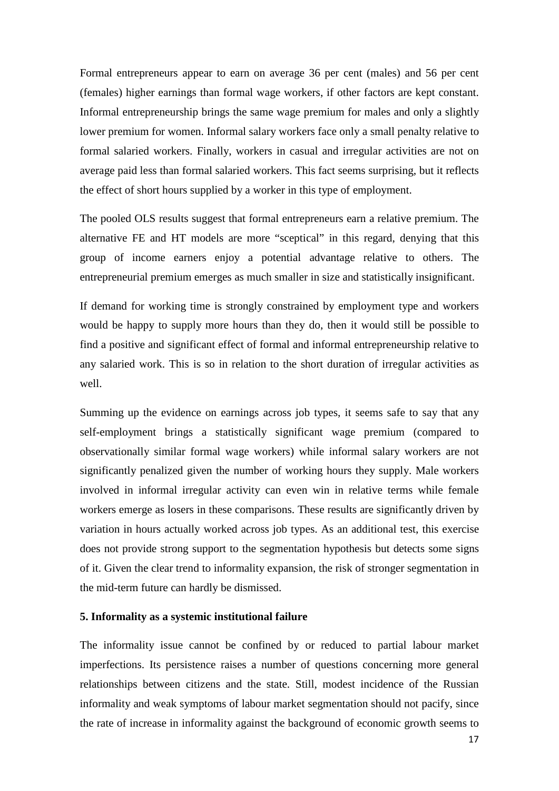Formal entrepreneurs appear to earn on average 36 per cent (males) and 56 per cent (females) higher earnings than formal wage workers, if other factors are kept constant. Informal entrepreneurship brings the same wage premium for males and only a slightly lower premium for women. Informal salary workers face only a small penalty relative to formal salaried workers. Finally, workers in casual and irregular activities are not on average paid less than formal salaried workers. This fact seems surprising, but it reflects the effect of short hours supplied by a worker in this type of employment.

The pooled OLS results suggest that formal entrepreneurs earn a relative premium. The alternative FE and HT models are more "sceptical" in this regard, denying that this group of income earners enjoy a potential advantage relative to others. The entrepreneurial premium emerges as much smaller in size and statistically insignificant.

If demand for working time is strongly constrained by employment type and workers would be happy to supply more hours than they do, then it would still be possible to find a positive and significant effect of formal and informal entrepreneurship relative to any salaried work. This is so in relation to the short duration of irregular activities as well.

Summing up the evidence on earnings across job types, it seems safe to say that any self-employment brings a statistically significant wage premium (compared to observationally similar formal wage workers) while informal salary workers are not significantly penalized given the number of working hours they supply. Male workers involved in informal irregular activity can even win in relative terms while female workers emerge as losers in these comparisons. These results are significantly driven by variation in hours actually worked across job types. As an additional test, this exercise does not provide strong support to the segmentation hypothesis but detects some signs of it. Given the clear trend to informality expansion, the risk of stronger segmentation in the mid-term future can hardly be dismissed.

## **5. Informality as a systemic institutional failure**

The informality issue cannot be confined by or reduced to partial labour market imperfections. Its persistence raises a number of questions concerning more general relationships between citizens and the state. Still, modest incidence of the Russian informality and weak symptoms of labour market segmentation should not pacify, since the rate of increase in informality against the background of economic growth seems to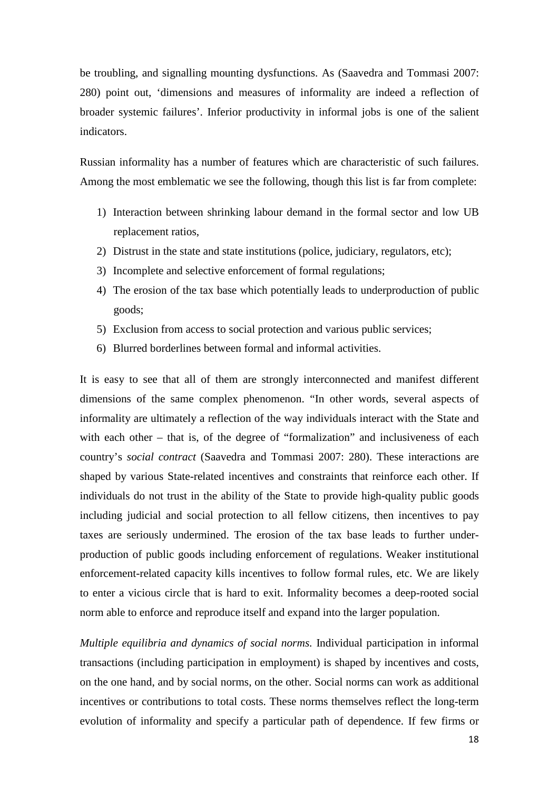be troubling, and signalling mounting dysfunctions. As (Saavedra and Tommasi 2007: 280) point out, 'dimensions and measures of informality are indeed a reflection of broader systemic failures'. Inferior productivity in informal jobs is one of the salient indicators.

Russian informality has a number of features which are characteristic of such failures. Among the most emblematic we see the following, though this list is far from complete:

- 1) Interaction between shrinking labour demand in the formal sector and low UB replacement ratios,
- 2) Distrust in the state and state institutions (police, judiciary, regulators, etc);
- 3) Incomplete and selective enforcement of formal regulations;
- 4) The erosion of the tax base which potentially leads to underproduction of public goods;
- 5) Exclusion from access to social protection and various public services;
- 6) Blurred borderlines between formal and informal activities.

It is easy to see that all of them are strongly interconnected and manifest different dimensions of the same complex phenomenon. "In other words, several aspects of informality are ultimately a reflection of the way individuals interact with the State and with each other – that is, of the degree of "formalization" and inclusiveness of each country's *social contract* (Saavedra and Tommasi 2007: 280). These interactions are shaped by various State-related incentives and constraints that reinforce each other. If individuals do not trust in the ability of the State to provide high-quality public goods including judicial and social protection to all fellow citizens, then incentives to pay taxes are seriously undermined. The erosion of the tax base leads to further underproduction of public goods including enforcement of regulations. Weaker institutional enforcement-related capacity kills incentives to follow formal rules, etc. We are likely to enter a vicious circle that is hard to exit. Informality becomes a deep-rooted social norm able to enforce and reproduce itself and expand into the larger population.

*Multiple equilibria and dynamics of social norms.* Individual participation in informal transactions (including participation in employment) is shaped by incentives and costs, on the one hand, and by social norms, on the other. Social norms can work as additional incentives or contributions to total costs. These norms themselves reflect the long-term evolution of informality and specify a particular path of dependence. If few firms or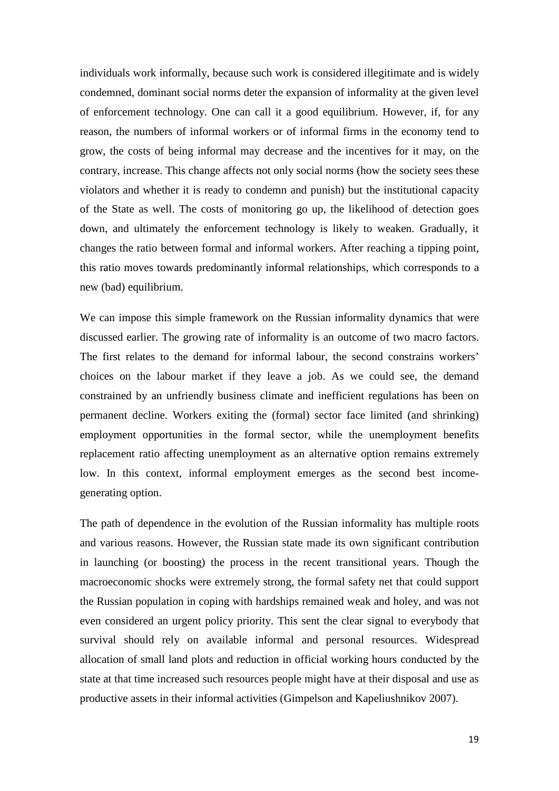individuals work informally, because such work is considered illegitimate and is widely condemned, dominant social norms deter the expansion of informality at the given level of enforcement technology. One can call it a good equilibrium. However, if, for any reason, the numbers of informal workers or of informal firms in the economy tend to grow, the costs of being informal may decrease and the incentives for it may, on the contrary, increase. This change affects not only social norms (how the society sees these violators and whether it is ready to condemn and punish) but the institutional capacity of the State as well. The costs of monitoring go up, the likelihood of detection goes down, and ultimately the enforcement technology is likely to weaken. Gradually, it changes the ratio between formal and informal workers. After reaching a tipping point, this ratio moves towards predominantly informal relationships, which corresponds to a new (bad) equilibrium.

We can impose this simple framework on the Russian informality dynamics that were discussed earlier. The growing rate of informality is an outcome of two macro factors. The first relates to the demand for informal labour, the second constrains workers' choices on the labour market if they leave a job. As we could see, the demand constrained by an unfriendly business climate and inefficient regulations has been on permanent decline. Workers exiting the (formal) sector face limited (and shrinking) employment opportunities in the formal sector, while the unemployment benefits replacement ratio affecting unemployment as an alternative option remains extremely low. In this context, informal employment emerges as the second best incomegenerating option.

The path of dependence in the evolution of the Russian informality has multiple roots and various reasons. However, the Russian state made its own significant contribution in launching (or boosting) the process in the recent transitional years. Though the macroeconomic shocks were extremely strong, the formal safety net that could support the Russian population in coping with hardships remained weak and holey, and was not even considered an urgent policy priority. This sent the clear signal to everybody that survival should rely on available informal and personal resources. Widespread allocation of small land plots and reduction in official working hours conducted by the state at that time increased such resources people might have at their disposal and use as productive assets in their informal activities (Gimpelson and Kapeliushnikov 2007).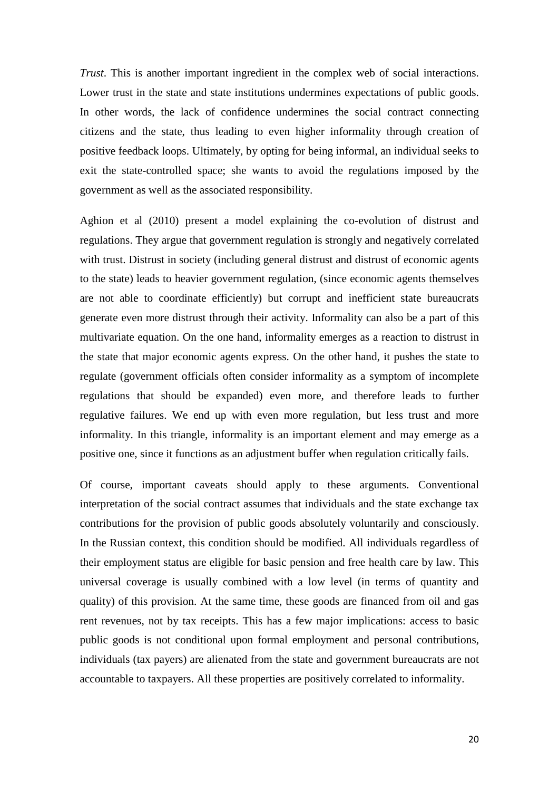*Trust*. This is another important ingredient in the complex web of social interactions. Lower trust in the state and state institutions undermines expectations of public goods. In other words, the lack of confidence undermines the social contract connecting citizens and the state, thus leading to even higher informality through creation of positive feedback loops. Ultimately, by opting for being informal, an individual seeks to exit the state-controlled space; she wants to avoid the regulations imposed by the government as well as the associated responsibility.

Aghion et al (2010) present a model explaining the co-evolution of distrust and regulations. They argue that government regulation is strongly and negatively correlated with trust. Distrust in society (including general distrust and distrust of economic agents to the state) leads to heavier government regulation, (since economic agents themselves are not able to coordinate efficiently) but corrupt and inefficient state bureaucrats generate even more distrust through their activity. Informality can also be a part of this multivariate equation. On the one hand, informality emerges as a reaction to distrust in the state that major economic agents express. On the other hand, it pushes the state to regulate (government officials often consider informality as a symptom of incomplete regulations that should be expanded) even more, and therefore leads to further regulative failures. We end up with even more regulation, but less trust and more informality. In this triangle, informality is an important element and may emerge as a positive one, since it functions as an adjustment buffer when regulation critically fails.

Of course, important caveats should apply to these arguments. Conventional interpretation of the social contract assumes that individuals and the state exchange tax contributions for the provision of public goods absolutely voluntarily and consciously. In the Russian context, this condition should be modified. All individuals regardless of their employment status are eligible for basic pension and free health care by law. This universal coverage is usually combined with a low level (in terms of quantity and quality) of this provision. At the same time, these goods are financed from oil and gas rent revenues, not by tax receipts. This has a few major implications: access to basic public goods is not conditional upon formal employment and personal contributions, individuals (tax payers) are alienated from the state and government bureaucrats are not accountable to taxpayers. All these properties are positively correlated to informality.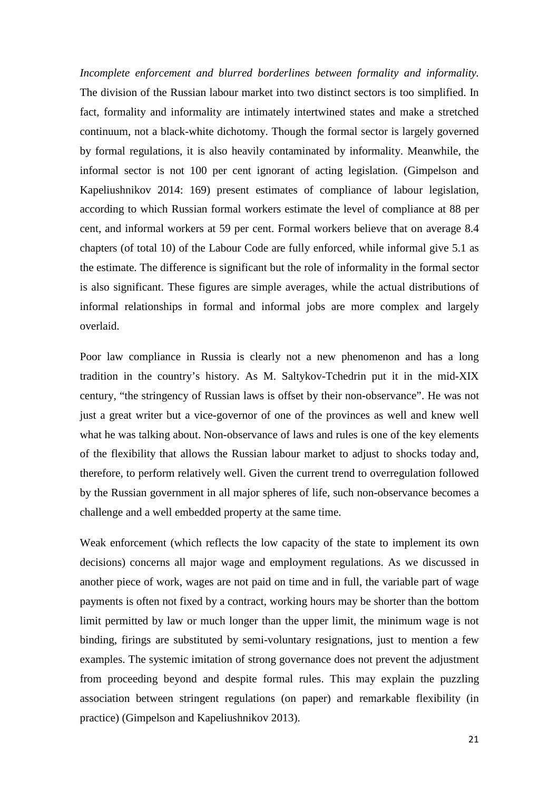*Incomplete enforcement and blurred borderlines between formality and informality.*  The division of the Russian labour market into two distinct sectors is too simplified. In fact, formality and informality are intimately intertwined states and make a stretched continuum, not a black-white dichotomy. Though the formal sector is largely governed by formal regulations, it is also heavily contaminated by informality. Meanwhile, the informal sector is not 100 per cent ignorant of acting legislation. (Gimpelson and Kapeliushnikov 2014: 169) present estimates of compliance of labour legislation, according to which Russian formal workers estimate the level of compliance at 88 per cent, and informal workers at 59 per cent. Formal workers believe that on average 8.4 chapters (of total 10) of the Labour Code are fully enforced, while informal give 5.1 as the estimate. The difference is significant but the role of informality in the formal sector is also significant. These figures are simple averages, while the actual distributions of informal relationships in formal and informal jobs are more complex and largely overlaid.

Poor law compliance in Russia is clearly not a new phenomenon and has a long tradition in the country's history. As M. Saltykov-Tchedrin put it in the mid-XIX century, "the stringency of Russian laws is offset by their non-observance". He was not just a great writer but a vice-governor of one of the provinces as well and knew well what he was talking about. Non-observance of laws and rules is one of the key elements of the flexibility that allows the Russian labour market to adjust to shocks today and, therefore, to perform relatively well. Given the current trend to overregulation followed by the Russian government in all major spheres of life, such non-observance becomes a challenge and a well embedded property at the same time.

Weak enforcement (which reflects the low capacity of the state to implement its own decisions) concerns all major wage and employment regulations. As we discussed in another piece of work, wages are not paid on time and in full, the variable part of wage payments is often not fixed by a contract, working hours may be shorter than the bottom limit permitted by law or much longer than the upper limit, the minimum wage is not binding, firings are substituted by semi-voluntary resignations, just to mention a few examples. The systemic imitation of strong governance does not prevent the adjustment from proceeding beyond and despite formal rules. This may explain the puzzling association between stringent regulations (on paper) and remarkable flexibility (in practice) (Gimpelson and Kapeliushnikov 2013).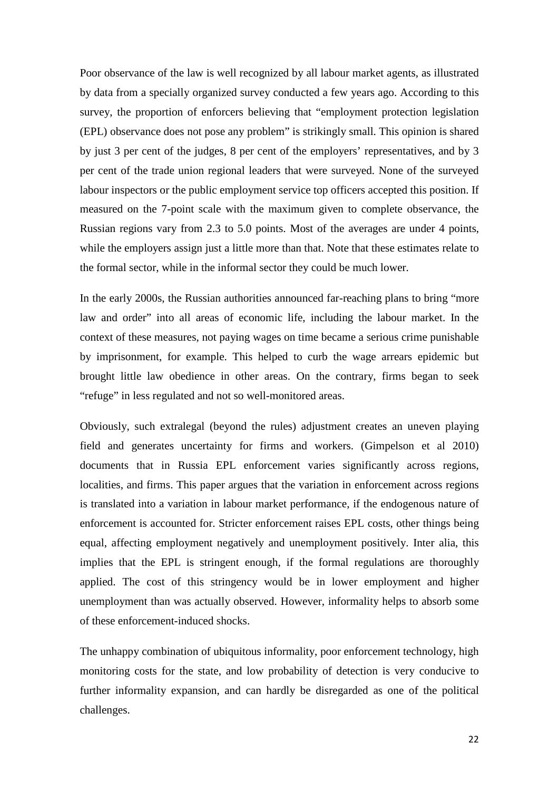Poor observance of the law is well recognized by all labour market agents, as illustrated by data from a specially organized survey conducted a few years ago. According to this survey, the proportion of enforcers believing that "employment protection legislation (EPL) observance does not pose any problem" is strikingly small. This opinion is shared by just 3 per cent of the judges, 8 per cent of the employers' representatives, and by 3 per cent of the trade union regional leaders that were surveyed. None of the surveyed labour inspectors or the public employment service top officers accepted this position. If measured on the 7-point scale with the maximum given to complete observance, the Russian regions vary from 2.3 to 5.0 points. Most of the averages are under 4 points, while the employers assign just a little more than that. Note that these estimates relate to the formal sector, while in the informal sector they could be much lower.

In the early 2000s, the Russian authorities announced far-reaching plans to bring "more law and order" into all areas of economic life, including the labour market. In the context of these measures, not paying wages on time became a serious crime punishable by imprisonment, for example. This helped to curb the wage arrears epidemic but brought little law obedience in other areas. On the contrary, firms began to seek "refuge" in less regulated and not so well-monitored areas.

Obviously, such extralegal (beyond the rules) adjustment creates an uneven playing field and generates uncertainty for firms and workers. (Gimpelson et al 2010) documents that in Russia EPL enforcement varies significantly across regions, localities, and firms. This paper argues that the variation in enforcement across regions is translated into a variation in labour market performance, if the endogenous nature of enforcement is accounted for. Stricter enforcement raises EPL costs, other things being equal, affecting employment negatively and unemployment positively. Inter alia, this implies that the EPL is stringent enough, if the formal regulations are thoroughly applied. The cost of this stringency would be in lower employment and higher unemployment than was actually observed. However, informality helps to absorb some of these enforcement-induced shocks.

The unhappy combination of ubiquitous informality, poor enforcement technology, high monitoring costs for the state, and low probability of detection is very conducive to further informality expansion, and can hardly be disregarded as one of the political challenges.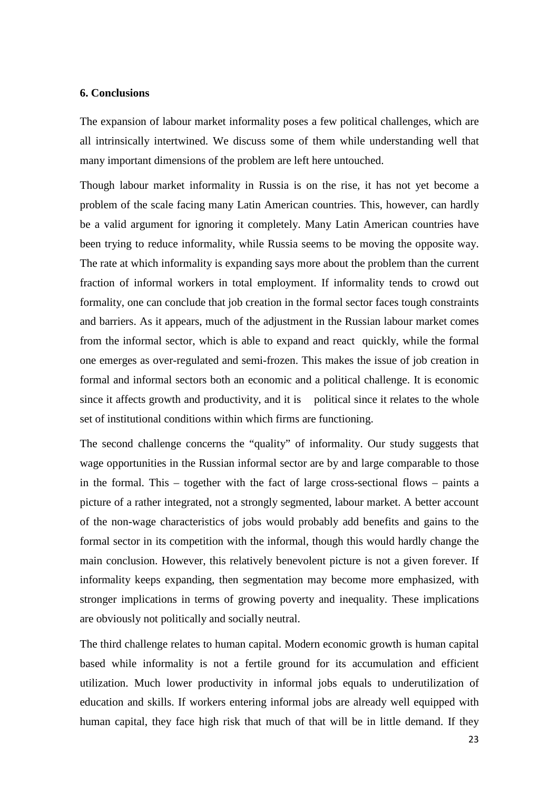#### **6. Conclusions**

The expansion of labour market informality poses a few political challenges, which are all intrinsically intertwined. We discuss some of them while understanding well that many important dimensions of the problem are left here untouched.

Though labour market informality in Russia is on the rise, it has not yet become a problem of the scale facing many Latin American countries. This, however, can hardly be a valid argument for ignoring it completely. Many Latin American countries have been trying to reduce informality, while Russia seems to be moving the opposite way. The rate at which informality is expanding says more about the problem than the current fraction of informal workers in total employment. If informality tends to crowd out formality, one can conclude that job creation in the formal sector faces tough constraints and barriers. As it appears, much of the adjustment in the Russian labour market comes from the informal sector, which is able to expand and react quickly, while the formal one emerges as over-regulated and semi-frozen. This makes the issue of job creation in formal and informal sectors both an economic and a political challenge. It is economic since it affects growth and productivity, and it is political since it relates to the whole set of institutional conditions within which firms are functioning.

The second challenge concerns the "quality" of informality. Our study suggests that wage opportunities in the Russian informal sector are by and large comparable to those in the formal. This – together with the fact of large cross-sectional flows – paints a picture of a rather integrated, not a strongly segmented, labour market. A better account of the non-wage characteristics of jobs would probably add benefits and gains to the formal sector in its competition with the informal, though this would hardly change the main conclusion. However, this relatively benevolent picture is not a given forever. If informality keeps expanding, then segmentation may become more emphasized, with stronger implications in terms of growing poverty and inequality. These implications are obviously not politically and socially neutral.

The third challenge relates to human capital. Modern economic growth is human capital based while informality is not a fertile ground for its accumulation and efficient utilization. Much lower productivity in informal jobs equals to underutilization of education and skills. If workers entering informal jobs are already well equipped with human capital, they face high risk that much of that will be in little demand. If they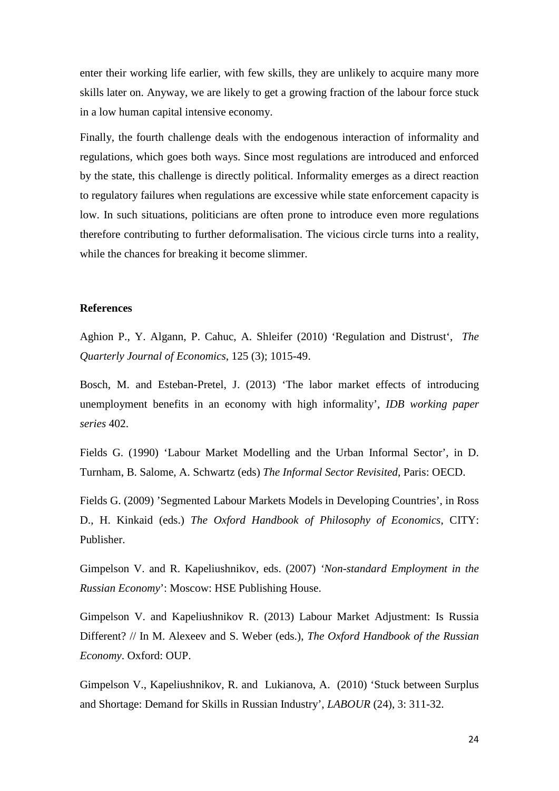enter their working life earlier, with few skills, they are unlikely to acquire many more skills later on. Anyway, we are likely to get a growing fraction of the labour force stuck in a low human capital intensive economy.

Finally, the fourth challenge deals with the endogenous interaction of informality and regulations, which goes both ways. Since most regulations are introduced and enforced by the state, this challenge is directly political. Informality emerges as a direct reaction to regulatory failures when regulations are excessive while state enforcement capacity is low. In such situations, politicians are often prone to introduce even more regulations therefore contributing to further deformalisation. The vicious circle turns into a reality, while the chances for breaking it become slimmer.

#### **References**

Aghion P., Y. Algann, P. Cahuc, A. Shleifer (2010) 'Regulation and Distrust', *The Quarterly Journal of Economics*, 125 (3); 1015-49.

Bosch, M. and Esteban-Pretel, J. (2013) 'The labor market effects of introducing unemployment benefits in an economy with high informality', *IDB working paper series* 402.

Fields G. (1990) 'Labour Market Modelling and the Urban Informal Sector', in D. Turnham, B. Salome, A. Schwartz (eds) *The Informal Sector Revisited*, Paris: OECD.

Fields G. (2009) 'Segmented Labour Markets Models in Developing Countries', in Ross D., H. Kinkaid (eds.) *The Oxford Handbook of Philosophy of Economics*, CITY: Publisher.

Gimpelson V. and R. Kapeliushnikov, eds. (2007) *'Non-standard Employment in the Russian Economy*': Moscow: HSE Publishing House.

Gimpelson V. and Kapeliushnikov R. (2013) Labour Market Adjustment: Is Russia Different? // In M. Alexeev and S. Weber (eds.), *The Oxford Handbook of the Russian Economy*. Oxford: OUP.

Gimpelson V., Kapeliushnikov, R. and Lukianova, A. (2010) 'Stuck between Surplus and Shortage: Demand for Skills in Russian Industry', *LABOUR* (24), 3: 311-32.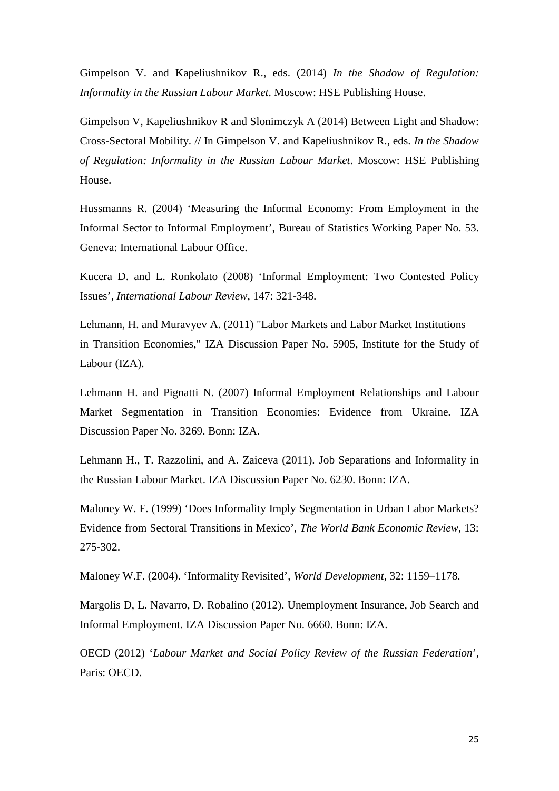Gimpelson V. and Kapeliushnikov R., eds. (2014) *In the Shadow of Regulation: Informality in the Russian Labour Market*. Moscow: HSE Publishing House.

Gimpelson V, Kapeliushnikov R and Slonimczyk A (2014) Between Light and Shadow: Cross-Sectoral Mobility. // In Gimpelson V. and Kapeliushnikov R., eds. *In the Shadow of Regulation: Informality in the Russian Labour Market*. Moscow: HSE Publishing House.

Hussmanns R. (2004) 'Measuring the Informal Economy: From Employment in the Informal Sector to Informal Employment', Bureau of Statistics Working Paper No. 53. Geneva: International Labour Office.

Kucera D. and L. Ronkolato (2008) 'Informal Employment: Two Contested Policy Issues', *International Labour Review,* 147: 321-348.

Lehmann, H. and Muravyev A. (2011) "Labor Markets and Labor Market Institutions in Transition Economies," IZA Discussion Paper No. 5905, Institute for the Study of Labour (IZA).

Lehmann H. and Pignatti N. (2007) Informal Employment Relationships and Labour Market Segmentation in Transition Economies: Evidence from Ukraine. IZA Discussion Paper No. 3269. Bonn: IZA.

Lehmann H., T. Razzolini, and A. Zaiceva (2011). Job Separations and Informality in the Russian Labour Market. IZA Discussion Paper No. 6230. Bonn: IZA.

Maloney W. F. (1999) 'Does Informality Imply Segmentation in Urban Labor Markets? Evidence from Sectoral Transitions in Mexico', *The World Bank Economic Review,* 13: 275-302.

Maloney W.F. (2004). 'Informality Revisited', *World Development,* 32: 1159–1178.

Margolis D, L. Navarro, D. Robalino (2012). Unemployment Insurance, Job Search and Informal Employment. IZA Discussion Paper No. 6660. Bonn: IZA.

OECD (2012) '*Labour Market and Social Policy Review of the Russian Federation*', Paris: OECD.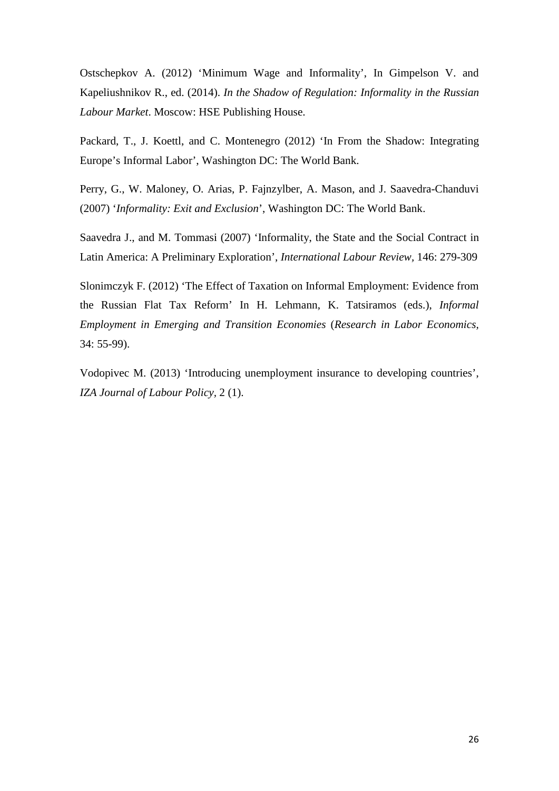Ostschepkov A. (2012) 'Minimum Wage and Informality', In Gimpelson V. and Kapeliushnikov R., ed. (2014). *In the Shadow of Regulation: Informality in the Russian Labour Market*. Moscow: HSE Publishing House.

Packard, T., J. Koettl, and C. Montenegro (2012) 'In From the Shadow: Integrating Europe's Informal Labor', Washington DC: The World Bank.

Perry, G., W. Maloney, O. Arias, P. Fajnzylber, A. Mason, and J. Saavedra-Chanduvi (2007) '*Informality: Exit and Exclusion*', Washington DC: The World Bank.

Saavedra J., and M. Tommasi (2007) 'Informality, the State and the Social Contract in Latin America: A Preliminary Exploration', *International Labour Review,* 146: 279-309

Slonimczyk F. (2012) 'The Effect of Taxation on Informal Employment: Evidence from the Russian Flat Tax Reform' In H. Lehmann, K. Tatsiramos (eds.), *Informal Employment in Emerging and Transition Economies* (*Research in Labor Economics,* 34: 55-99).

Vodopivec M. (2013) 'Introducing unemployment insurance to developing countries', *IZA Journal of Labour Policy,* 2 (1).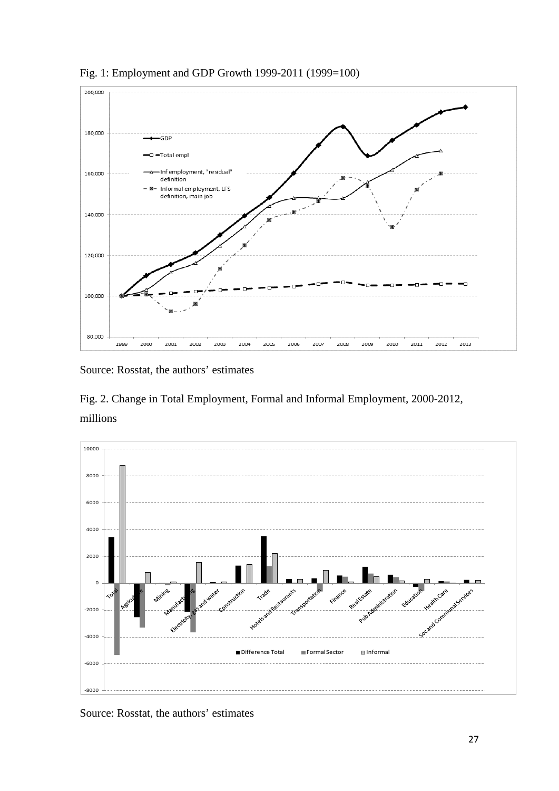



Source: Rosstat, the authors' estimates

Fig. 2. Change in Total Employment, Formal and Informal Employment, 2000-2012, millions



Source: Rosstat, the authors' estimates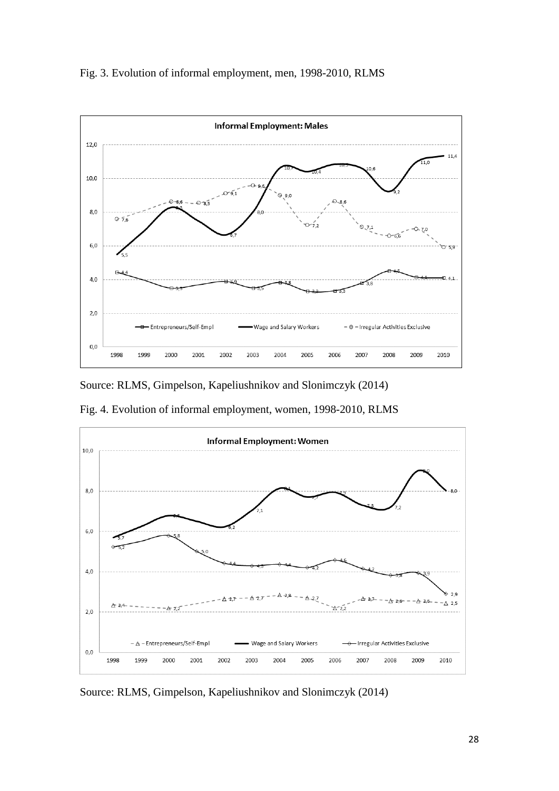



Source: RLMS, Gimpelson, Kapeliushnikov and Slonimczyk (2014)

Fig. 4. Evolution of informal employment, women, 1998-2010, RLMS



Source: RLMS, Gimpelson, Kapeliushnikov and Slonimczyk (2014)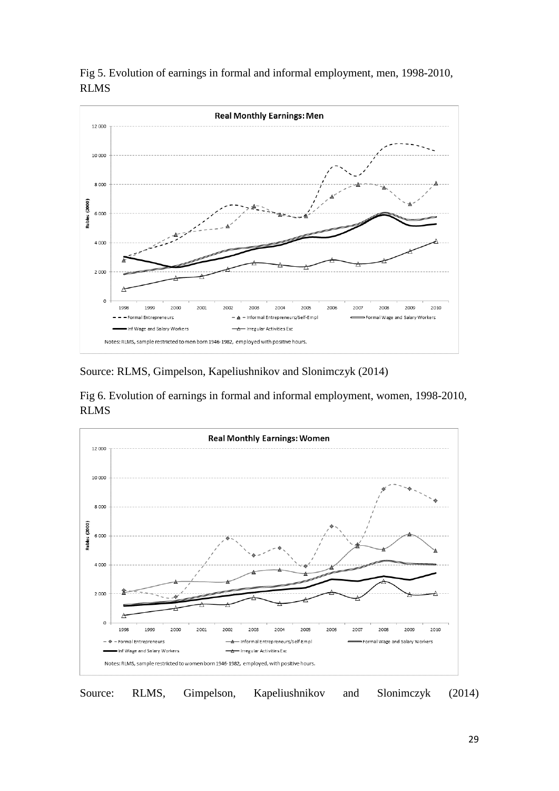

Fig 5. Evolution of earnings in formal and informal employment, men, 1998-2010, RLMS

Source: RLMS, Gimpelson, Kapeliushnikov and Slonimczyk (2014)

Fig 6. Evolution of earnings in formal and informal employment, women, 1998-2010, RLMS



Source: RLMS, Gimpelson, Kapeliushnikov and Slonimczyk (2014)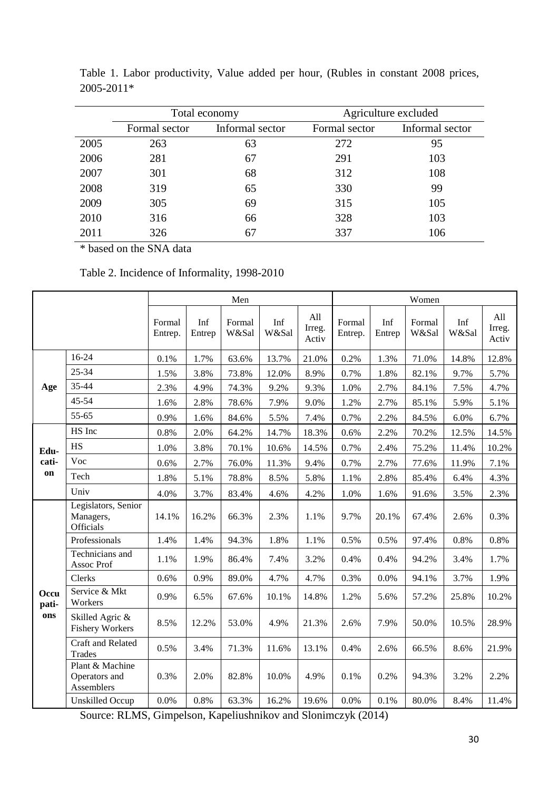|      |               | Total economy   | Agriculture excluded |                 |  |  |
|------|---------------|-----------------|----------------------|-----------------|--|--|
|      | Formal sector | Informal sector | Formal sector        | Informal sector |  |  |
| 2005 | 263           | 63              | 272                  | 95              |  |  |
| 2006 | 281           | 67              | 291                  | 103             |  |  |
| 2007 | 301           | 68              | 312                  | 108             |  |  |
| 2008 | 319           | 65              | 330                  | 99              |  |  |
| 2009 | 305           | 69              | 315                  | 105             |  |  |
| 2010 | 316           | 66              | 328                  | 103             |  |  |
| 2011 | 326           | 67              | 337                  | 106             |  |  |

Table 1. Labor productivity, Value added per hour, (Rubles in constant 2008 prices, 2005-2011\*

\* based on the SNA data

| Table 2. Incidence of Informality, 1998-2010 |  |  |
|----------------------------------------------|--|--|
|----------------------------------------------|--|--|

|               |                                                | Men               |               |                 |              | Women                  |                   |               |                 |              |                        |
|---------------|------------------------------------------------|-------------------|---------------|-----------------|--------------|------------------------|-------------------|---------------|-----------------|--------------|------------------------|
|               |                                                | Formal<br>Entrep. | Inf<br>Entrep | Formal<br>W&Sal | Inf<br>W&Sal | All<br>Irreg.<br>Activ | Formal<br>Entrep. | Inf<br>Entrep | Formal<br>W&Sal | Inf<br>W&Sal | All<br>Irreg.<br>Activ |
|               | 16-24                                          | 0.1%              | 1.7%          | 63.6%           | 13.7%        | 21.0%                  | 0.2%              | 1.3%          | 71.0%           | 14.8%        | 12.8%                  |
|               | 25-34                                          | 1.5%              | 3.8%          | 73.8%           | 12.0%        | 8.9%                   | 0.7%              | 1.8%          | 82.1%           | 9.7%         | 5.7%                   |
| Age           | 35-44                                          | 2.3%              | 4.9%          | 74.3%           | 9.2%         | 9.3%                   | 1.0%              | 2.7%          | 84.1%           | 7.5%         | 4.7%                   |
|               | 45-54                                          | 1.6%              | 2.8%          | 78.6%           | 7.9%         | 9.0%                   | 1.2%              | 2.7%          | 85.1%           | 5.9%         | 5.1%                   |
|               | 55-65                                          | 0.9%              | 1.6%          | 84.6%           | 5.5%         | 7.4%                   | 0.7%              | 2.2%          | 84.5%           | 6.0%         | 6.7%                   |
|               | HS Inc                                         | 0.8%              | 2.0%          | 64.2%           | 14.7%        | 18.3%                  | 0.6%              | 2.2%          | 70.2%           | 12.5%        | 14.5%                  |
| Edu-          | HS                                             | 1.0%              | 3.8%          | 70.1%           | 10.6%        | 14.5%                  | 0.7%              | 2.4%          | 75.2%           | 11.4%        | 10.2%                  |
| cati-         | Voc                                            | 0.6%              | 2.7%          | 76.0%           | 11.3%        | 9.4%                   | 0.7%              | 2.7%          | 77.6%           | 11.9%        | 7.1%                   |
| on            | Tech                                           | 1.8%              | 5.1%          | 78.8%           | 8.5%         | 5.8%                   | 1.1%              | 2.8%          | 85.4%           | 6.4%         | 4.3%                   |
|               | Univ                                           | 4.0%              | 3.7%          | 83.4%           | 4.6%         | 4.2%                   | 1.0%              | 1.6%          | 91.6%           | 3.5%         | 2.3%                   |
|               | Legislators, Senior<br>Managers,<br>Officials  | 14.1%             | 16.2%         | 66.3%           | 2.3%         | 1.1%                   | 9.7%              | 20.1%         | 67.4%           | 2.6%         | 0.3%                   |
|               | Professionals                                  | 1.4%              | 1.4%          | 94.3%           | 1.8%         | 1.1%                   | 0.5%              | 0.5%          | 97.4%           | 0.8%         | 0.8%                   |
|               | Technicians and<br>Assoc Prof                  | 1.1%              | 1.9%          | 86.4%           | 7.4%         | 3.2%                   | 0.4%              | 0.4%          | 94.2%           | 3.4%         | 1.7%                   |
|               | Clerks                                         | 0.6%              | 0.9%          | 89.0%           | 4.7%         | 4.7%                   | 0.3%              | 0.0%          | 94.1%           | 3.7%         | 1.9%                   |
| Occu<br>pati- | Service & Mkt<br>Workers                       | 0.9%              | 6.5%          | 67.6%           | 10.1%        | 14.8%                  | 1.2%              | 5.6%          | 57.2%           | 25.8%        | 10.2%                  |
| ons           | Skilled Agric &<br><b>Fishery Workers</b>      | 8.5%              | 12.2%         | 53.0%           | 4.9%         | 21.3%                  | 2.6%              | 7.9%          | 50.0%           | 10.5%        | 28.9%                  |
|               | Craft and Related<br><b>Trades</b>             | 0.5%              | 3.4%          | 71.3%           | 11.6%        | 13.1%                  | 0.4%              | 2.6%          | 66.5%           | 8.6%         | 21.9%                  |
|               | Plant & Machine<br>Operators and<br>Assemblers | 0.3%              | 2.0%          | 82.8%           | 10.0%        | 4.9%                   | 0.1%              | 0.2%          | 94.3%           | 3.2%         | 2.2%                   |
|               | <b>Unskilled Occup</b>                         | 0.0%              | 0.8%          | 63.3%           | 16.2%        | 19.6%                  | 0.0%              | 0.1%          | 80.0%           | 8.4%         | 11.4%                  |

Source: RLMS, Gimpelson, Kapeliushnikov and Slonimczyk (2014)